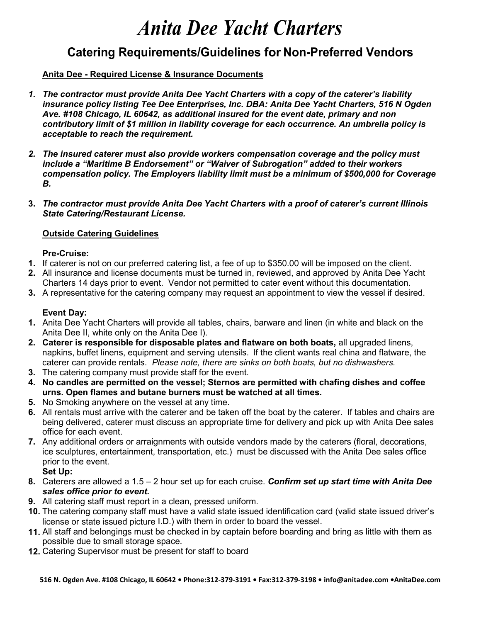# *Anita Dee Yacht Charters*

# **Catering Requirements/Guidelines for Non-Preferred Vendors**

## **Anita Dee - Required License & Insurance Documents**

- *1. The contractor must provide Anita Dee Yacht Charters with a copy of the caterer's liability insurance policy listing Tee Dee Enterprises, Inc. DBA: Anita Dee Yacht Charters, 516 N Ogden Ave. #108 Chicago, IL 60642, as additional insured for the event date, primary and non contributory limit of \$1 million in liability coverage for each occurrence. An umbrella policy is acceptable to reach the requirement.*
- *2. The insured caterer must also provide workers compensation coverage and the policy must include a "Maritime B Endorsement" or "Waiver of Subrogation" added to their workers compensation policy. The Employers liability limit must be a minimum of \$500,000 for Coverage B.*
- **3.** *The contractor must provide Anita Dee Yacht Charters with a proof of caterer's current Illinois State Catering/Restaurant License.*

### **Outside Catering Guidelines**

#### **Pre-Cruise:**

- **1.** If caterer is not on our preferred catering list, a fee of up to \$350.00 will be imposed on the client.
- **2.** All insurance and license documents must be turned in, reviewed, and approved by Anita Dee Yacht Charters 14 days prior to event. Vendor not permitted to cater event without this documentation.
- **3.** A representative for the catering company may request an appointment to view the vessel if desired.

### **Event Day:**

- **1.** Anita Dee Yacht Charters will provide all tables, chairs, barware and linen (in white and black on the Anita Dee II, white only on the Anita Dee I).
- **2. Caterer is responsible for disposable plates and flatware on both boats,** all upgraded linens, napkins, buffet linens, equipment and serving utensils. If the client wants real china and flatware, the caterer can provide rentals. *Please note, there are sinks on both boats, but no dishwashers.*
- **3.** The catering company must provide staff for the event.
- **4. No candles are permitted on the vessel; Sternos are permitted with chafing dishes and coffee urns. Open flames and butane burners must be watched at all times.**
- **5.** No Smoking anywhere on the vessel at any time.
- **6.** All rentals must arrive with the caterer and be taken off the boat by the caterer. If tables and chairs are being delivered, caterer must discuss an appropriate time for delivery and pick up with Anita Dee sales office for each event.
- **7.** Any additional orders or arraignments with outside vendors made by the caterers (floral, decorations, ice sculptures, entertainment, transportation, etc.) must be discussed with the Anita Dee sales office prior to the event.

**Set Up:**

- **8.** Caterers are allowed a 1.5 2 hour set up for each cruise. *Confirm set up start time with Anita Dee sales office prior to event.*
- **9.** All catering staff must report in a clean, pressed uniform.
- **10.** The catering company staff must have a valid state issued identification card (valid state issued driver's license or state issued picture I.D.) with them in order to board the vessel.
- **11.** All staff and belongings must be checked in by captain before boarding and bring as little with them as possible due to small storage space.
- **12.** Catering Supervisor must be present for staff to board